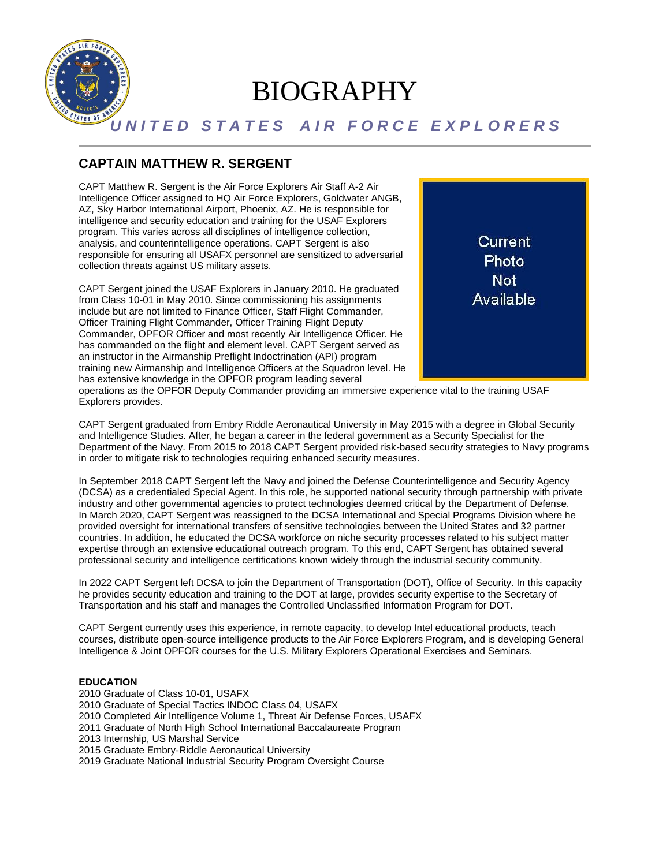

# BIOGRAPHY

## *U N I T E D S T A T E S A I R F O R C E E X P L O R E R S*

## **CAPTAIN MATTHEW R. SERGENT**

CAPT Matthew R. Sergent is the Air Force Explorers Air Staff A-2 Air Intelligence Officer assigned to HQ Air Force Explorers, Goldwater ANGB, AZ, Sky Harbor International Airport, Phoenix, AZ. He is responsible for intelligence and security education and training for the USAF Explorers program. This varies across all disciplines of intelligence collection, analysis, and counterintelligence operations. CAPT Sergent is also responsible for ensuring all USAFX personnel are sensitized to adversarial collection threats against US military assets.

CAPT Sergent joined the USAF Explorers in January 2010. He graduated from Class 10-01 in May 2010. Since commissioning his assignments include but are not limited to Finance Officer, Staff Flight Commander, Officer Training Flight Commander, Officer Training Flight Deputy Commander, OPFOR Officer and most recently Air Intelligence Officer. He has commanded on the flight and element level. CAPT Sergent served as an instructor in the Airmanship Preflight Indoctrination (API) program training new Airmanship and Intelligence Officers at the Squadron level. He has extensive knowledge in the OPFOR program leading several



operations as the OPFOR Deputy Commander providing an immersive experience vital to the training USAF Explorers provides.

CAPT Sergent graduated from Embry Riddle Aeronautical University in May 2015 with a degree in Global Security and Intelligence Studies. After, he began a career in the federal government as a Security Specialist for the Department of the Navy. From 2015 to 2018 CAPT Sergent provided risk-based security strategies to Navy programs in order to mitigate risk to technologies requiring enhanced security measures.

In September 2018 CAPT Sergent left the Navy and joined the Defense Counterintelligence and Security Agency (DCSA) as a credentialed Special Agent. In this role, he supported national security through partnership with private industry and other governmental agencies to protect technologies deemed critical by the Department of Defense. In March 2020, CAPT Sergent was reassigned to the DCSA International and Special Programs Division where he provided oversight for international transfers of sensitive technologies between the United States and 32 partner countries. In addition, he educated the DCSA workforce on niche security processes related to his subject matter expertise through an extensive educational outreach program. To this end, CAPT Sergent has obtained several professional security and intelligence certifications known widely through the industrial security community.

In 2022 CAPT Sergent left DCSA to join the Department of Transportation (DOT), Office of Security. In this capacity he provides security education and training to the DOT at large, provides security expertise to the Secretary of Transportation and his staff and manages the Controlled Unclassified Information Program for DOT.

CAPT Sergent currently uses this experience, in remote capacity, to develop Intel educational products, teach courses, distribute open-source intelligence products to the Air Force Explorers Program, and is developing General Intelligence & Joint OPFOR courses for the U.S. Military Explorers Operational Exercises and Seminars.

#### **EDUCATION**

2010 Graduate of Class 10-01, USAFX 2010 Graduate of Special Tactics INDOC Class 04, USAFX 2010 Completed Air Intelligence Volume 1, Threat Air Defense Forces, USAFX 2011 Graduate of North High School International Baccalaureate Program 2013 Internship, US Marshal Service 2015 Graduate Embry-Riddle Aeronautical University 2019 Graduate National Industrial Security Program Oversight Course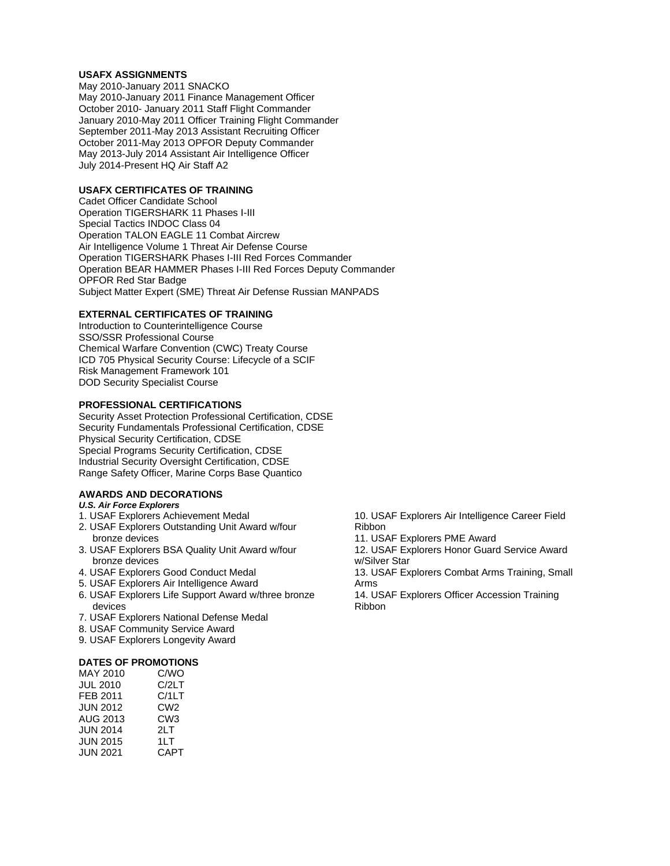#### **USAFX ASSIGNMENTS**

May 2010-January 2011 SNACKO May 2010-January 2011 Finance Management Officer October 2010- January 2011 Staff Flight Commander January 2010-May 2011 Officer Training Flight Commander September 2011-May 2013 Assistant Recruiting Officer October 2011-May 2013 OPFOR Deputy Commander May 2013-July 2014 Assistant Air Intelligence Officer July 2014-Present HQ Air Staff A2

#### **USAFX CERTIFICATES OF TRAINING**

Cadet Officer Candidate School Operation TIGERSHARK 11 Phases I-III Special Tactics INDOC Class 04 Operation TALON EAGLE 11 Combat Aircrew Air Intelligence Volume 1 Threat Air Defense Course Operation TIGERSHARK Phases I-III Red Forces Commander Operation BEAR HAMMER Phases I-III Red Forces Deputy Commander OPFOR Red Star Badge Subject Matter Expert (SME) Threat Air Defense Russian MANPADS

#### **EXTERNAL CERTIFICATES OF TRAINING**

Introduction to Counterintelligence Course SSO/SSR Professional Course Chemical Warfare Convention (CWC) Treaty Course ICD 705 Physical Security Course: Lifecycle of a SCIF Risk Management Framework 101 DOD Security Specialist Course

#### **PROFESSIONAL CERTIFICATIONS**

Security Asset Protection Professional Certification, CDSE Security Fundamentals Professional Certification, CDSE Physical Security Certification, CDSE Special Programs Security Certification, CDSE Industrial Security Oversight Certification, CDSE Range Safety Officer, Marine Corps Base Quantico

### **AWARDS AND DECORATIONS**

#### *U.S. Air Force Explorers*

- 1. USAF Explorers Achievement Medal
- 2. USAF Explorers Outstanding Unit Award w/four bronze devices
- 3. USAF Explorers BSA Quality Unit Award w/four bronze devices
- 4. USAF Explorers Good Conduct Medal
- 5. USAF Explorers Air Intelligence Award
- 6. USAF Explorers Life Support Award w/three bronze devices
- 7. USAF Explorers National Defense Medal
- 8. USAF Community Service Award
- 9. USAF Explorers Longevity Award

#### **DATES OF PROMOTIONS**

| MAY 2010        | C/WO            |
|-----------------|-----------------|
| <b>JUL 2010</b> | C/2LT           |
| FEB 2011        | C/1LT           |
| <b>JUN 2012</b> | CW <sub>2</sub> |
| AUG 2013        | CW <sub>3</sub> |
| <b>JUN 2014</b> | 2L T            |
| <b>JUN 2015</b> | 1LT             |
| <b>JUN 2021</b> | CAPT            |

- 10. USAF Explorers Air Intelligence Career Field Ribbon
- 11. USAF Explorers PME Award
- 12. USAF Explorers Honor Guard Service Award w/Silver Star
- 13. USAF Explorers Combat Arms Training, Small Arms

14. USAF Explorers Officer Accession Training Ribbon